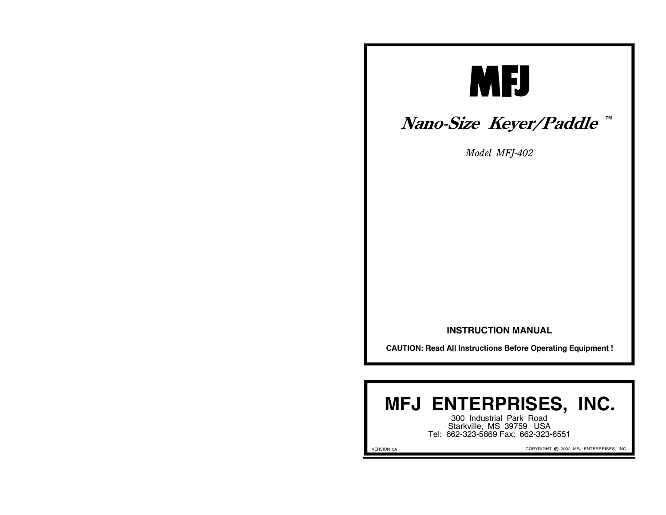

## *Nano-Size Keyer/Paddle* ™

*Model MFJ-402*

#### **INSTRUCTION MANUAL**

**CAUTION: Read All Instructions Before Operating Equipment !**

# **MFJ ENTERPRISES, INC.**

300 Industrial Park Road Starkville, MS 39759 USA Tel: 662-323-5869 Fax: 662-323-6551

VERSION 0A

COPYRIGHT @ 2002 MFJ ENTERPRISES, INC.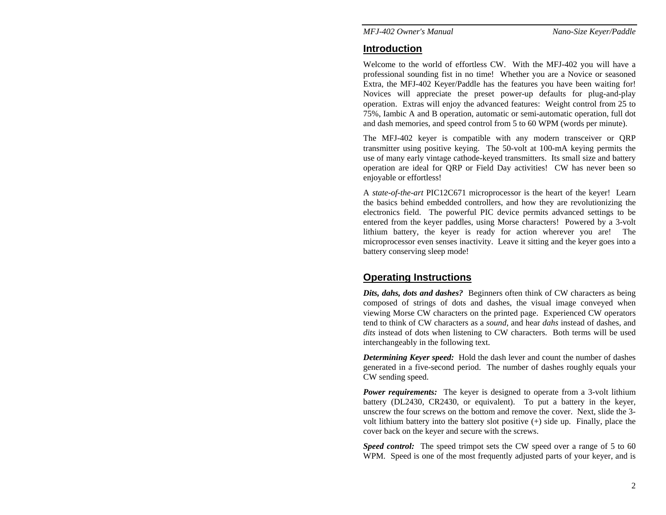#### **Introduction**

Welcome to the world of effortless CW. With the MFJ-402 you will have a professional sounding fist in no time! Whether you are a Novice or seasoned Extra, the MFJ-402 Keyer/Paddle has the features you have been waiting for! Novices will appreciate the preset power-up defaults for plug-and-play operation. Extras will enjoy the advanced features: Weight control from 25 to 75%, Iambic A and B operation, automatic or semi-automatic operation, full dot and dash memories, and speed control from 5 to 60 WPM (words per minute).

The MFJ-402 keyer is compatible with any modern transceiver or QRP transmitter using positive keying. The 50-volt at 100-mA keying permits the use of many early vintage cathode-keyed transmitters. Its small size and battery operation are ideal for QRP or Field Day activities! CW has never been so enjoyable or effortless!

A *state-of-the-art* PIC12C671 microprocessor is the heart of the keyer! Learn the basics behind embedded controllers, and how they are revolutionizing the electronics field. The powerful PIC device permits advanced settings to be entered from the keyer paddles, using Morse characters! Powered by a 3-volt lithium battery, the keyer is ready for action wherever you are! The microprocessor even senses inactivity. Leave it sitting and the keyer goes into a battery conserving sleep mode!

## **Operating Instructions**

*Dits, dahs, dots and dashes?* Beginners often think of CW characters as being composed of strings of dots and dashes, the visual image conveyed when viewing Morse CW characters on the printed page. Experienced CW operators tend to think of CW characters as a *sound*, and hear *dahs* instead of dashes, and *dits* instead of dots when listening to CW characters. Both terms will be used interchangeably in the following text.

*Determining Keyer speed:* Hold the dash lever and count the number of dashes generated in a five-second period. The number of dashes roughly equals your CW sending speed.

*Power requirements:* The keyer is designed to operate from a 3-volt lithium battery (DL2430, CR2430, or equivalent). To put a battery in the keyer, unscrew the four screws on the bottom and remove the cover. Next, slide the 3 volt lithium battery into the battery slot positive (+) side up. Finally, place the cover back on the keyer and secure with the screws.

*Speed control:* The speed trimpot sets the CW speed over a range of 5 to 60 WPM. Speed is one of the most frequently adjusted parts of your keyer, and is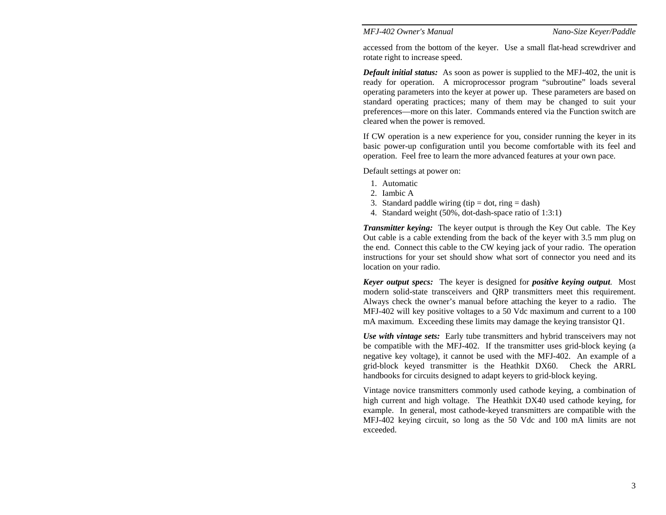accessed from the bottom of the keyer. Use a small flat-head screwdriver and rotate right to increase speed.

*Default initial status:* As soon as power is supplied to the MFJ-402, the unit is ready for operation. A microprocessor program "subroutine" loads several operating parameters into the keyer at power up. These parameters are based on standard operating practices; many of them may be changed to suit your preferences—more on this later. Commands entered via the Function switch are cleared when the power is removed.

If CW operation is a new experience for you, consider running the keyer in its basic power-up configuration until you become comfortable with its feel and operation. Feel free to learn the more advanced features at your own pace.

Default settings at power on:

- 1. Automatic
- 2. Iambic A
- 3. Standard paddle wiring (tip  $=$  dot, ring  $=$  dash)
- 4. Standard weight (50%, dot-dash-space ratio of 1:3:1)

*Transmitter keying:* The keyer output is through the Key Out cable. The Key Out cable is a cable extending from the back of the keyer with 3.5 mm plug on the end. Connect this cable to the CW keying jack of your radio. The operation instructions for your set should show what sort of connector you need and its location on your radio.

*Keyer output specs:* The keyer is designed for *positive keying output*. Most modern solid-state transceivers and QRP transmitters meet this requirement. Always check the owner's manual before attaching the keyer to a radio. The MFJ-402 will key positive voltages to a 50 Vdc maximum and current to a 100 mA maximum. Exceeding these limits may damage the keying transistor Q1.

*Use with vintage sets:* Early tube transmitters and hybrid transceivers may not be compatible with the MFJ-402. If the transmitter uses grid-block keying (a negative key voltage), it cannot be used with the MFJ-402. An example of a grid-block keyed transmitter is the Heathkit DX60. Check the ARRL handbooks for circuits designed to adapt keyers to grid-block keying.

Vintage novice transmitters commonly used cathode keying, a combination of high current and high voltage. The Heathkit DX40 used cathode keying, for example. In general, most cathode-keyed transmitters are compatible with the MFJ-402 keying circuit, so long as the 50 Vdc and 100 mA limits are not exceeded.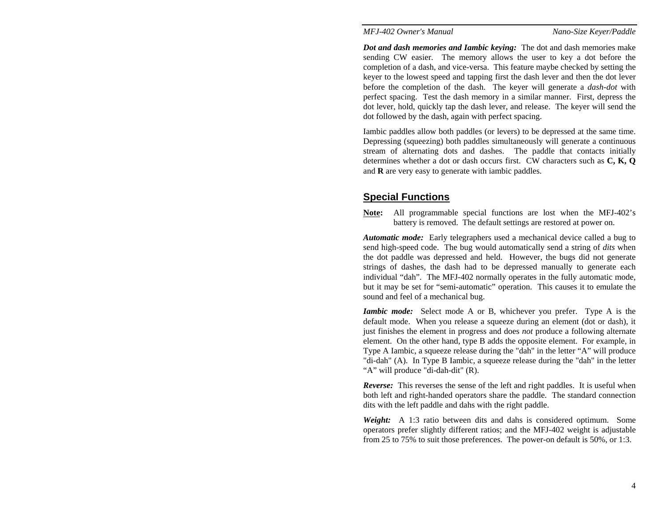*Dot and dash memories and Iambic keying:* The dot and dash memories make sending CW easier. The memory allows the user to key a dot before the completion of a dash, and vice-versa. This feature maybe checked by setting the keyer to the lowest speed and tapping first the dash lever and then the dot lever before the completion of the dash. The keyer will generate a *dash-dot* with perfect spacing. Test the dash memory in a similar manner. First, depress the dot lever, hold, quickly tap the dash lever, and release. The keyer will send the dot followed by the dash, again with perfect spacing.

Iambic paddles allow both paddles (or levers) to be depressed at the same time. Depressing (squeezing) both paddles simultaneously will generate a continuous stream of alternating dots and dashes. The paddle that contacts initially determines whether a dot or dash occurs first. CW characters such as **C, K, Q** and **R** are very easy to generate with iambic paddles.

#### **Special Functions**

**Note:** All programmable special functions are lost when the MFJ-402's battery is removed. The default settings are restored at power on.

*Automatic mode:* Early telegraphers used a mechanical device called a bug to send high-speed code. The bug would automatically send a string of *dits* when the dot paddle was depressed and held. However, the bugs did not generate strings of dashes, the dash had to be depressed manually to generate each individual "dah". The MFJ-402 normally operates in the fully automatic mode, but it may be set for "semi-automatic" operation. This causes it to emulate the sound and feel of a mechanical bug.

*Iambic mode:* Select mode A or B, whichever you prefer. Type A is the default mode. When you release a squeeze during an element (dot or dash), it just finishes the element in progress and does *not* produce a following alternate element. On the other hand, type B adds the opposite element. For example, in Type A Iambic, a squeeze release during the "dah" in the letter "A" will produce "di-dah" (A). In Type B Iambic, a squeeze release during the "dah" in the letter "A" will produce "di-dah-dit" (R).

*Reverse:* This reverses the sense of the left and right paddles. It is useful when both left and right-handed operators share the paddle. The standard connection dits with the left paddle and dahs with the right paddle.

*Weight:* A 1:3 ratio between dits and dahs is considered optimum. Some operators prefer slightly different ratios; and the MFJ-402 weight is adjustable from 25 to 75% to suit those preferences. The power-on default is 50%, or 1:3.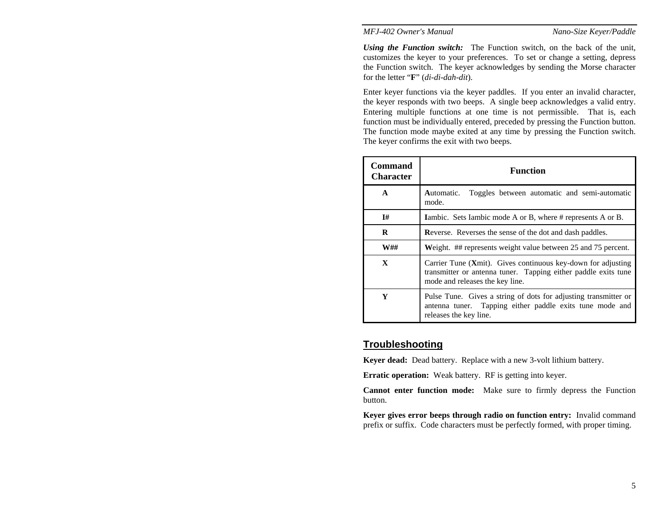*Using the Function switch:* The Function switch, on the back of the unit, customizes the keyer to your preferences. To set or change a setting, depress the Function switch. The keyer acknowledges by sending the Morse character for the letter " **F**" (*di-di-dah-dit*).

Enter keyer functions via the keyer paddles. If you enter an invalid character, the keyer responds with two beeps. A single beep acknowledges a valid entry. Entering multiple functions at one time is not permissible. That is, each function must be individually entered, preceded by pressing the Function button. The function mode maybe exited at any time by pressing the Function switch. The keyer confirms the exit with two beeps.

| <b>Command</b><br><b>Character</b> | <b>Function</b>                                                                                                                                                   |  |  |  |  |
|------------------------------------|-------------------------------------------------------------------------------------------------------------------------------------------------------------------|--|--|--|--|
| $\mathbf{A}$                       | Toggles between automatic and semi-automatic<br>Automatic.<br>mode.                                                                                               |  |  |  |  |
| I#                                 | <b>Iambic.</b> Sets Iambic mode A or B, where # represents A or B.                                                                                                |  |  |  |  |
| R                                  | Reverse. Reverses the sense of the dot and dash paddles.                                                                                                          |  |  |  |  |
| <b>W##</b>                         | Weight. ## represents weight value between 25 and 75 percent.                                                                                                     |  |  |  |  |
| $\mathbf{X}$                       | Carrier Tune (Xmit). Gives continuous key-down for adjusting<br>transmitter or antenna tuner. Tapping either paddle exits tune<br>mode and releases the key line. |  |  |  |  |
| Y                                  | Pulse Tune. Gives a string of dots for adjusting transmitter or<br>antenna tuner. Tapping either paddle exits tune mode and<br>releases the key line.             |  |  |  |  |

#### **Troubleshooting**

**Keyer dead:** Dead battery. Replace with a new 3-volt lithium battery.

**Erratic operation:** Weak battery. RF is getting into keyer.

**Cannot enter function mode:** Make sure to firmly depress the Function button.

**Keyer gives error beeps through radio on function entry:** Invalid command prefix or suffix. Code characters must be perfectly formed, with proper timing.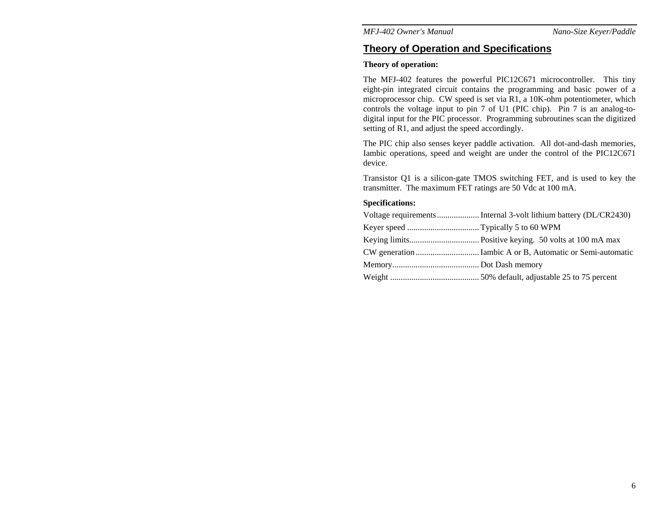### **Theory of Operation and Specifications**

#### **Theory of operation:**

The MFJ-402 features the powerful PIC12C671 microcontroller. This tiny eight-pin integrated circuit contains the programming and basic power of a microprocessor chip. CW speed is set via R1, a 10K-ohm potentiometer, which controls the voltage input to pin 7 of U1 (PIC chip). Pin 7 is an analog-todigital input for the PIC processor. Programming subroutines scan the digitized setting of R1, and adjust the speed accordingly.

The PIC chip also senses keyer paddle activation. All dot-and-dash memories, Iambic operations, speed and weight are under the control of the PIC12C671 device.

Transistor Q1 is a silicon-gate TMOS switching FET, and is used to key the transmitter. The maximum FET ratings are 50 Vdc at 100 mA.

#### **Specifications:**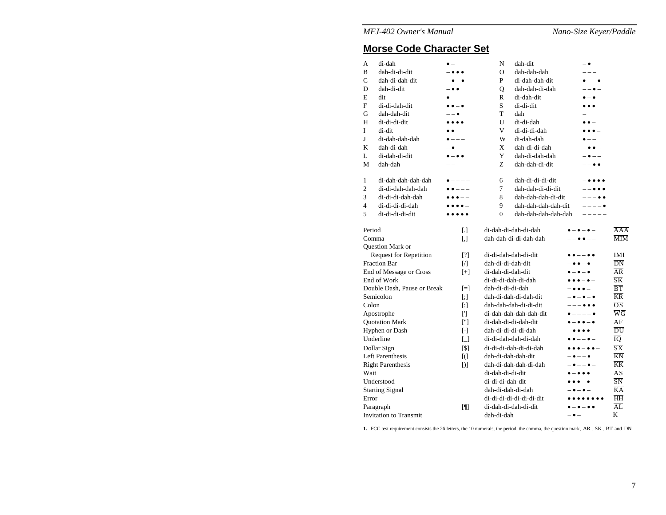#### **Morse Code Character Set**

| A                             | di-dah             |                                        | N                                                          | dah-dit              |                                         | $ \bullet$                              |                             |
|-------------------------------|--------------------|----------------------------------------|------------------------------------------------------------|----------------------|-----------------------------------------|-----------------------------------------|-----------------------------|
| B                             | dah-di-di-dit      |                                        | $\Omega$                                                   | dah-dah-dah          |                                         | $- - -$                                 |                             |
| Ċ                             | dah-di-dah-dit     |                                        | P                                                          | di-dah-dah-dit       |                                         | $\bullet$ $ \bullet$                    |                             |
| D                             | dah-di-dit         | -                                      | Q                                                          | dah-dah-di-dah       |                                         | $- \bullet$ $-$                         |                             |
| E                             | dit                |                                        | R                                                          | di-dah-dit           |                                         | $\bullet - \bullet$                     |                             |
| F                             | di-di-dah-dit      | $\bullet\bullet-\bullet$               | S.                                                         | di-di-dit            |                                         | $\bullet\bullet\bullet$                 |                             |
| G                             | dah-dah-dit        | $- - \bullet$                          | T                                                          | dah                  |                                         |                                         |                             |
| Н                             | di-di-di-dit       | $\bullet\bullet\bullet$                | U                                                          | di-di-dah            |                                         | $\bullet$ $\bullet$ $-$                 |                             |
| I                             | di-dit             |                                        | V                                                          | di-di-di-dah         |                                         | $\cdots$                                |                             |
| J                             | di-dah-dah-dah     | $\bullet$ $--$                         | W                                                          | di-dah-dah           |                                         | $\bullet$ $-$                           |                             |
| K                             | dah-di-dah         | $ \bullet$ $-$                         | X                                                          | dah-di-di-dah        |                                         | $- \bullet \bullet -$                   |                             |
| L                             | di-dah-di-dit      | $\bullet - \bullet \bullet$            | Y                                                          | dah-di-dah-dah       |                                         | $ \bullet$ $ -$                         |                             |
| М                             | dah-dah            |                                        | Z                                                          | dah-dah-di-dit       |                                         | $- - \bullet \bullet$                   |                             |
| 1                             | di-dah-dah-dah-dah | $\bullet$ $---$                        | 6                                                          | dah-di-di-di-dit     |                                         |                                         |                             |
| 2                             | di-di-dah-dah-dah  | $\bullet$ $\bullet$ $--$               | 7                                                          | dah-dah-di-di-dit    |                                         |                                         |                             |
| 3                             | di-di-di-dah-dah   | $\bullet \bullet \bullet \texttt{---}$ | 8                                                          | dah-dah-dah-di-dit   |                                         | $--- \bullet \bullet$                   |                             |
| 4                             | di-di-di-di-dah    |                                        | 9                                                          | dah-dah-dah-dah-dit  |                                         | $--- -$                                 |                             |
| 5                             | di-di-di-di-dit    |                                        | $\Omega$                                                   | dah-dah-dah-dah-dah  |                                         | $- - - - -$                             |                             |
| Period                        |                    | $\lceil . \rceil$                      |                                                            | di-dah-di-dah-di-dah |                                         |                                         | AAA                         |
| Comma                         |                    | $[ , ]$                                | dah-dah-di-di-dah-dah                                      |                      |                                         | $--\bullet\bullet--$                    | $\overline{\text{MIM}}$     |
|                               | Question Mark or   |                                        |                                                            |                      |                                         |                                         |                             |
| <b>Request for Repetition</b> |                    | [?]                                    | di-di-dah-dah-di-dit                                       |                      |                                         |                                         | <b>IMI</b>                  |
| <b>Fraction Bar</b>           |                    | $\sqrt{ }$                             | dah-di-di-dah-dit                                          |                      |                                         | $ \bullet$ $\bullet$ $ \bullet$         | DN                          |
| End of Message or Cross       |                    | $[+]$                                  | di-dah-di-dah-dit                                          |                      |                                         | $\bullet - \bullet - \bullet$           | $\overline{AR}$             |
| End of Work                   |                    |                                        | di-di-di-dah-di-dah                                        |                      |                                         | $\bullet \bullet \bullet - \bullet -$   | $\overline{\text{SK}}$      |
| Double Dash, Pause or Break   |                    | $=$                                    | dah-di-di-di-dah                                           |                      |                                         | -                                       | $\overline{B} \overline{T}$ |
| Semicolon                     |                    | $\lceil$ :                             | dah-di-dah-di-dah-dit                                      |                      |                                         | $-$ 0 $-$ 0 $-$ 0                       | <b>KR</b>                   |
| Colon                         |                    | $[$                                    | dah-dah-dah-di-di-dit                                      |                      |                                         | $--- \bullet \bullet \bullet$           | ōΣ                          |
| Apostrophe                    |                    | $\Gamma$                               | di-dah-dah-dah-dah-dit                                     |                      |                                         | $\bullet$ $-- \bullet$                  | $\overline{\text{w}}$ G     |
| <b>Quotation Mark</b>         |                    | $[\cdot$                               | di-dah-di-di-dah-dit                                       |                      |                                         | $\bullet - \bullet \bullet - \bullet$   | $\overline{\rm AF}$         |
| <b>Hyphen or Dash</b>         |                    | $[-]$                                  | dah-di-di-di-di-dah                                        |                      | $ -$                                    | $\overline{DU}$                         |                             |
| Underline                     |                    | $\Box$                                 | di-di-dah-dah-di-dah<br>$\bullet$ $\bullet$ $ \bullet$ $-$ |                      |                                         | ĪQ                                      |                             |
| Dollar Sign                   |                    | 51                                     | di-di-di-dah-di-di-dah                                     |                      | $\bullet\bullet\bullet-\bullet\bullet-$ | $\overline{\text{SX}}$                  |                             |
| <b>Left Parenthesis</b>       |                    | $[$ (                                  | dah-di-dah-dah-dit                                         |                      | $ \bullet$ $ \bullet$                   | KN                                      |                             |
| <b>Right Parenthesis</b>      |                    | D <sub>1</sub>                         | dah-di-dah-dah-di-dah                                      |                      | $ \bullet$ $ \bullet$ $-$               | $\overline{\text{KK}}$                  |                             |
| Wait                          |                    |                                        | di-dah-di-di-dit                                           |                      |                                         | $\bullet$ $\bullet$ $\bullet$ $\bullet$ | $\overline{AS}$             |
| Understood                    |                    |                                        | di-di-di-dah-dit                                           |                      |                                         | $\bullet\bullet\bullet-\bullet$         | $\overline{\text{SN}}$      |
| <b>Starting Signal</b>        |                    |                                        | dah-di-dah-di-dah                                          |                      |                                         |                                         | $\overline{KA}$             |
| Error                         |                    |                                        | di-di-di-di-di-di-di-dit                                   |                      |                                         | .                                       | ΗH                          |
| Paragraph                     |                    | $\blacksquare$                         |                                                            | di-dah-di-dah-di-dit |                                         | $\bullet-\bullet-\bullet\bullet$        | $\overline{AL}$             |
| Invitation to Transmit        |                    |                                        | dah-di-dah                                                 |                      | $ \bullet$ $-$                          |                                         | K                           |

**1.** FCC test requirement consists the 26 letters, the 10 numerals, the period, the comma, the question mark,  $\overline{AR}$ ,  $\overline{SK}$ ,  $\overline{BT}$  and  $\overline{DN}$ .